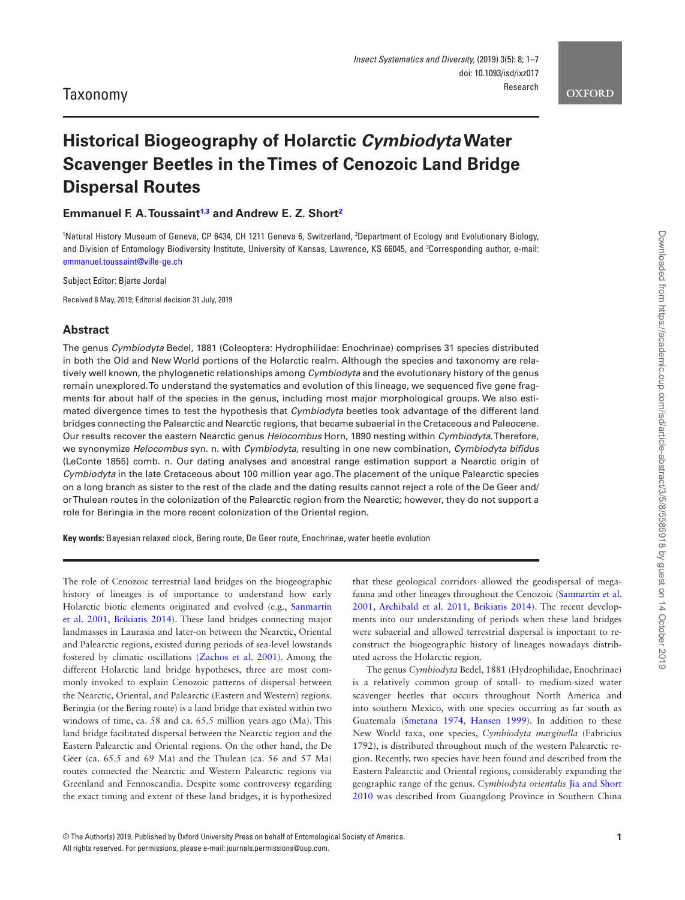# **Historical Biogeography of Holarctic** *Cymbiodyta* **Water Scavenger Beetles in the Times of Cenozoic Land Bridge Dispersal Routes**

**Emmanuel F. A. Toussain[t1](#page-0-0),[3](#page-0-1) and Andrew E. Z. Short[2](#page-0-2)**

<span id="page-0-2"></span><span id="page-0-1"></span><span id="page-0-0"></span>1 Natural History Museum of Geneva, CP 6434, CH 1211 Geneva 6, Switzerland, 2 Department of Ecology and Evolutionary Biology, and Division of Entomology Biodiversity Institute, University of Kansas, Lawrence, KS 66045, and 3 Corresponding author, e-mail: [emmanuel.toussaint@ville-ge.ch](mailto:emmanuel.toussaint@ville-ge.ch?subject=)

Subject Editor: Bjarte Jordal

Received 8 May, 2019; Editorial decision 31 July, 2019

# **Abstract**

The genus *Cymbiodyta* Bedel, 1881 (Coleoptera: Hydrophilidae: Enochrinae) comprises 31 species distributed in both the Old and New World portions of the Holarctic realm. Although the species and taxonomy are relatively well known, the phylogenetic relationships among *Cymbiodyta* and the evolutionary history of the genus remain unexplored. To understand the systematics and evolution of this lineage, we sequenced five gene fragments for about half of the species in the genus, including most major morphological groups. We also estimated divergence times to test the hypothesis that *Cymbiodyta* beetles took advantage of the different land bridges connecting the Palearctic and Nearctic regions, that became subaerial in the Cretaceous and Paleocene. Our results recover the eastern Nearctic genus *Helocombus* Horn, 1890 nesting within *Cymbiodyta*. Therefore, we synonymize *Helocombus* syn. n. with *Cymbiodyta*, resulting in one new combination, *Cymbiodyta bifidus* (LeConte 1855) comb. n. Our dating analyses and ancestral range estimation support a Nearctic origin of *Cymbiodyta* in the late Cretaceous about 100 million year ago. The placement of the unique Palearctic species on a long branch as sister to the rest of the clade and the dating results cannot reject a role of the De Geer and/ or Thulean routes in the colonization of the Palearctic region from the Nearctic; however, they do not support a role for Beringia in the more recent colonization of the Oriental region.

**Key words:** Bayesian relaxed clock, Bering route, De Geer route, Enochrinae, water beetle evolution

The role of Cenozoic terrestrial land bridges on the biogeographic history of lineages is of importance to understand how early Holarctic biotic elements originated and evolved (e.g., [Sanmartin](#page-6-0)  [et al. 2001,](#page-6-0) [Brikiatis 2014](#page-6-1)). These land bridges connecting major landmasses in Laurasia and later-on between the Nearctic, Oriental and Palearctic regions, existed during periods of sea-level lowstands fostered by climatic oscillations [\(Zachos et al. 2001](#page-6-2)). Among the different Holarctic land bridge hypotheses, three are most commonly invoked to explain Cenozoic patterns of dispersal between the Nearctic, Oriental, and Palearctic (Eastern and Western) regions. Beringia (or the Bering route) is a land bridge that existed within two windows of time, ca. 58 and ca. 65.5 million years ago (Ma). This land bridge facilitated dispersal between the Nearctic region and the Eastern Palearctic and Oriental regions. On the other hand, the De Geer (ca. 65.5 and 69 Ma) and the Thulean (ca. 56 and 57 Ma) routes connected the Nearctic and Western Palearctic regions via Greenland and Fennoscandia. Despite some controversy regarding the exact timing and extent of these land bridges, it is hypothesized

that these geological corridors allowed the geodispersal of megafauna and other lineages throughout the Cenozoic ([Sanmartin et al.](#page-6-0)  [2001](#page-6-0), [Archibald et al. 2011,](#page-5-0) [Brikiatis 2014](#page-6-1)). The recent developments into our understanding of periods when these land bridges were subaerial and allowed terrestrial dispersal is important to reconstruct the biogeographic history of lineages nowadays distributed across the Holarctic region.

The genus *Cymbiodyta* Bedel, 1881 (Hydrophilidae, Enochrinae) is a relatively common group of small- to medium-sized water scavenger beetles that occurs throughout North America and into southern Mexico, with one species occurring as far south as Guatemala ([Smetana 1974](#page-6-3), [Hansen 1999\)](#page-6-4). In addition to these New World taxa, one species, *Cymbiodyta marginella* (Fabricius 1792), is distributed throughout much of the western Palearctic region. Recently, two species have been found and described from the Eastern Palearctic and Oriental regions, considerably expanding the geographic range of the genus. *Cymbiodyta orientalis* [Jia and Short](#page-6-5)  [2010](#page-6-5) was described from Guangdong Province in Southern China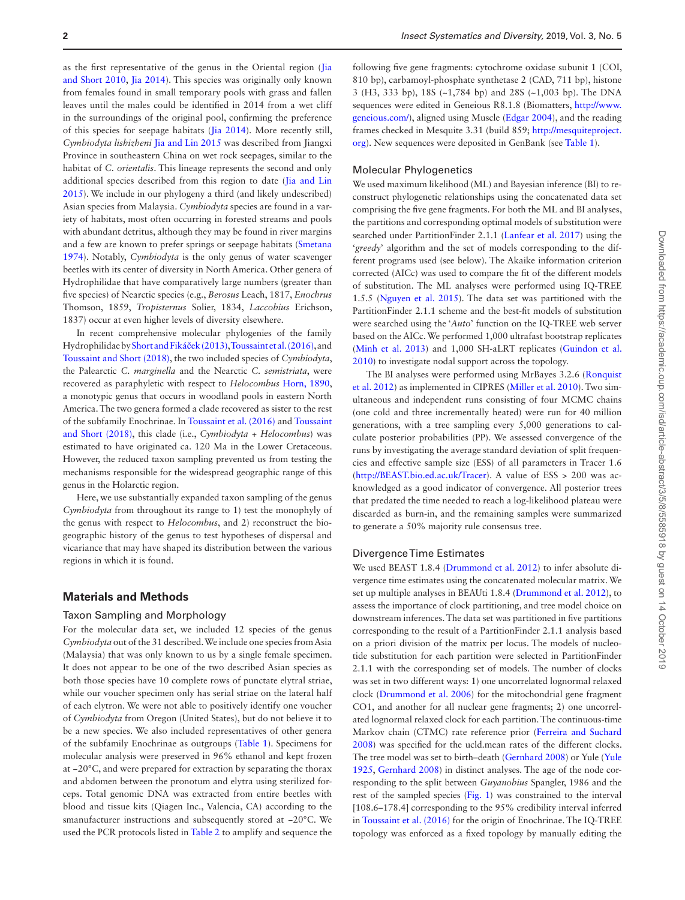as the first representative of the genus in the Oriental region [\(Jia](#page-6-5)  [and Short 2010](#page-6-5), [Jia 2014\)](#page-6-6). This species was originally only known from females found in small temporary pools with grass and fallen leaves until the males could be identified in 2014 from a wet cliff in the surroundings of the original pool, confirming the preference of this species for seepage habitats ([Jia 2014\)](#page-6-6). More recently still, *Cymbiodyta lishizheni* [Jia and Lin 2015](#page-6-7) was described from Jiangxi Province in southeastern China on wet rock seepages, similar to the habitat of *C. orientalis*. This lineage represents the second and only additional species described from this region to date [\(Jia and Lin](#page-6-7)  [2015](#page-6-7)). We include in our phylogeny a third (and likely undescribed) Asian species from Malaysia. *Cymbiodyta* species are found in a variety of habitats, most often occurring in forested streams and pools with abundant detritus, although they may be found in river margins and a few are known to prefer springs or seepage habitats [\(Smetana](#page-6-3)  [1974](#page-6-3)). Notably, *Cymbiodyta* is the only genus of water scavenger beetles with its center of diversity in North America. Other genera of Hydrophilidae that have comparatively large numbers (greater than five species) of Nearctic species (e.g., *Berosus* Leach, 1817, *Enochrus* Thomson, 1859, *Tropisternus* Solier, 1834, *Laccobius* Erichson, 1837) occur at even higher levels of diversity elsewhere.

In recent comprehensive molecular phylogenies of the family Hydrophilidae by [Short and Fiká](#page-6-8)ček (2013), [Toussaint et al. \(2016\)](#page-6-9), and [Toussaint and Short \(2018\)](#page-6-10), the two included species of *Cymbiodyta*, the Palearctic *C. marginella* and the Nearctic *C. semistriata*, were recovered as paraphyletic with respect to *Helocombus* [Horn, 1890,](#page-6-11) a monotypic genus that occurs in woodland pools in eastern North America. The two genera formed a clade recovered as sister to the rest of the subfamily Enochrinae. In [Toussaint et al. \(2016\)](#page-6-9) and [Toussaint](#page-6-10)  [and Short \(2018\),](#page-6-10) this clade (i.e., *Cymbiodyta* + *Helocombus*) was estimated to have originated ca. 120 Ma in the Lower Cretaceous. However, the reduced taxon sampling prevented us from testing the mechanisms responsible for the widespread geographic range of this genus in the Holarctic region.

Here, we use substantially expanded taxon sampling of the genus *Cymbiodyta* from throughout its range to 1) test the monophyly of the genus with respect to *Helocombus*, and 2) reconstruct the biogeographic history of the genus to test hypotheses of dispersal and vicariance that may have shaped its distribution between the various regions in which it is found.

## **Materials and Methods**

#### Taxon Sampling and Morphology

For the molecular data set, we included 12 species of the genus *Cymbiodyta* out of the 31 described. We include one species from Asia (Malaysia) that was only known to us by a single female specimen. It does not appear to be one of the two described Asian species as both those species have 10 complete rows of punctate elytral striae, while our voucher specimen only has serial striae on the lateral half of each elytron. We were not able to positively identify one voucher of *Cymbiodyta* from Oregon (United States), but do not believe it to be a new species. We also included representatives of other genera of the subfamily Enochrinae as outgroups ([Table 1\)](#page-2-0). Specimens for molecular analysis were preserved in 96% ethanol and kept frozen at −20°C, and were prepared for extraction by separating the thorax and abdomen between the pronotum and elytra using sterilized forceps. Total genomic DNA was extracted from entire beetles with blood and tissue kits (Qiagen Inc., Valencia, CA) according to the smanufacturer instructions and subsequently stored at −20°C. We used the PCR protocols listed in [Table 2](#page-3-0) to amplify and sequence the

following five gene fragments: cytochrome oxidase subunit 1 (COI, 810 bp), carbamoyl-phosphate synthetase 2 (CAD, 711 bp), histone 3 (H3, 333 bp), 18S (~1,784 bp) and 28S (~1,003 bp). The DNA sequences were edited in Geneious R8.1.8 (Biomatters, [http://www.](http://www.geneious.com/) [geneious.com/\)](http://www.geneious.com/), aligned using Muscle ([Edgar 2004](#page-6-12)), and the reading frames checked in Mesquite 3.31 (build 859; [http://mesquiteproject.](http://mesquiteproject.org) [org](http://mesquiteproject.org)). New sequences were deposited in GenBank (see [Table 1\)](#page-2-0).

## Molecular Phylogenetics

We used maximum likelihood (ML) and Bayesian inference (BI) to reconstruct phylogenetic relationships using the concatenated data set comprising the five gene fragments. For both the ML and BI analyses, the partitions and corresponding optimal models of substitution were searched under PartitionFinder 2.1.1 [\(Lanfear et al. 2017](#page-6-13)) using the '*greedy*' algorithm and the set of models corresponding to the different programs used (see below). The Akaike information criterion corrected (AICc) was used to compare the fit of the different models of substitution. The ML analyses were performed using IQ-TREE 1.5.5 [\(Nguyen et al. 2015\)](#page-6-14). The data set was partitioned with the PartitionFinder 2.1.1 scheme and the best-fit models of substitution were searched using the '*Auto*' function on the IQ-TREE web server based on the AICc. We performed 1,000 ultrafast bootstrap replicates [\(Minh et al. 2013](#page-6-15)) and 1,000 SH-aLRT replicates [\(Guindon et al.](#page-6-16)  [2010](#page-6-16)) to investigate nodal support across the topology.

The BI analyses were performed using MrBayes 3.2.6 [\(Ronquist](#page-6-17)  [et al. 2012\)](#page-6-17) as implemented in CIPRES [\(Miller et al. 2010\)](#page-6-18). Two simultaneous and independent runs consisting of four MCMC chains (one cold and three incrementally heated) were run for 40 million generations, with a tree sampling every 5,000 generations to calculate posterior probabilities (PP). We assessed convergence of the runs by investigating the average standard deviation of split frequencies and effective sample size (ESS) of all parameters in Tracer 1.6 [\(http://BEAST.bio.ed.ac.uk/Tracer\)](http://BEAST.bio.ed.ac.uk/Tracer). A value of ESS > 200 was acknowledged as a good indicator of convergence. All posterior trees that predated the time needed to reach a log-likelihood plateau were discarded as burn-in, and the remaining samples were summarized to generate a 50% majority rule consensus tree.

## Divergence Time Estimates

We used BEAST 1.8.4 ([Drummond et al. 2012](#page-6-19)) to infer absolute divergence time estimates using the concatenated molecular matrix. We set up multiple analyses in BEAUti 1.8.4 [\(Drummond et al. 2012\)](#page-6-19), to assess the importance of clock partitioning, and tree model choice on downstream inferences. The data set was partitioned in five partitions corresponding to the result of a PartitionFinder 2.1.1 analysis based on a priori division of the matrix per locus. The models of nucleotide substitution for each partition were selected in PartitionFinder 2.1.1 with the corresponding set of models. The number of clocks was set in two different ways: 1) one uncorrelated lognormal relaxed clock ([Drummond et al. 2006\)](#page-6-20) for the mitochondrial gene fragment CO1, and another for all nuclear gene fragments; 2) one uncorrelated lognormal relaxed clock for each partition. The continuous-time Markov chain (CTMC) rate reference prior ([Ferreira and Suchard](#page-6-21)  [2008](#page-6-21)) was specified for the ucld.mean rates of the different clocks. The tree model was set to birth–death [\(Gernhard 2008\)](#page-6-22) or Yule [\(Yule](#page-6-23)  [1925](#page-6-23), [Gernhard 2008\)](#page-6-22) in distinct analyses. The age of the node corresponding to the split between *Guyanobius* Spangler, 1986 and the rest of the sampled species [\(Fig. 1](#page-3-1)) was constrained to the interval [108.6–178.4] corresponding to the 95% credibility interval inferred in [Toussaint et al. \(2016\)](#page-6-9) for the origin of Enochrinae. The IQ-TREE topology was enforced as a fixed topology by manually editing the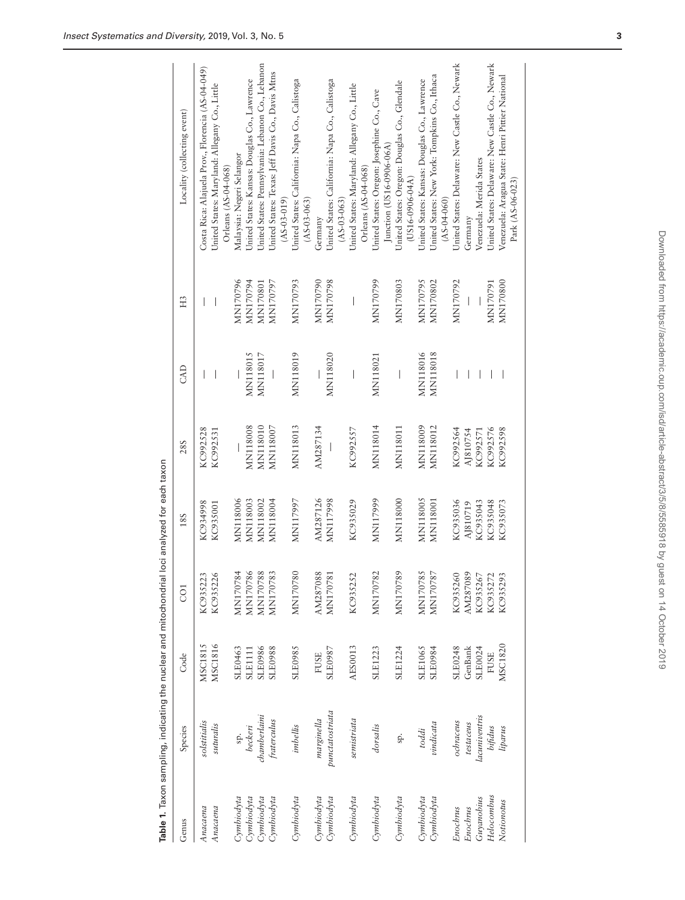| Genus      | Species         | Code           | CO <sub>1</sub>   | 18S             | 28S             | CAD                                   | H <sub>3</sub>           | Locality (collecting event)                                          |
|------------|-----------------|----------------|-------------------|-----------------|-----------------|---------------------------------------|--------------------------|----------------------------------------------------------------------|
| Anacaena   | solstitialis    | MSC1815        | $\sim$<br>KC93522 | KC934998        | KC992528        | $\overline{\phantom{a}}$              | $\overline{\phantom{a}}$ | Costa Rica: Alajuela Prov., Florencia (AS-04-049)                    |
| Anacaena   | suturalis       | MSC1816        | KC935226          | KC935001        | KC992531        | I                                     |                          | United States: Maryland: Allegany Co., Little<br>Orleans (AS-04-068) |
| Cymbiodyta |                 | SLE0463        | MN170784          | MN118006        |                 |                                       | MN170796                 | Malaysia: Negeri Selangor                                            |
| Cymbiodyta | beckeri         | <b>SLE1111</b> | MN170786          | <b>MN118003</b> | <b>MN118008</b> | <b>MN118015</b>                       | MN170794                 | United States: Kansas: Douglas Co., Lawrence                         |
| Cymbiodyta | chamberlaini    | SLE0986        | MN170788          | MN118002        | MN118010        | MN118017                              | MN170801                 | United States: Pennsylvania: Lebanon Co., Lebanon                    |
| Cymbiodyta | fraterculus     | <b>SLE0988</b> | MN170783          | MN118004        | MN118007        | $\begin{array}{c} \hline \end{array}$ | MN170797                 | United States: Texas: Jeff Davis Co., Davis Mtns                     |
|            |                 |                |                   |                 |                 |                                       |                          | $(AS-0.3-0.19)$                                                      |
| Cymbiodyta | imbellis        | <b>SLE0985</b> | MN170780          | MN117997        | <b>MN118013</b> | MN118019                              | MN170793                 | United States: California: Napa Co., Calistoga<br>$(AS-03-063)$      |
| Cymbiodyta | marginella      | <b>FUSE</b>    | AM287088          | AM287126        | AM287134        |                                       | MN170790                 | Germany                                                              |
| Cymbiodyta | punctatostriata | SLE0987        | MN170781          | MN117998        | I               | MN118020                              | MN170798                 | United States: California: Napa Co., Calistoga                       |
|            |                 |                |                   |                 |                 |                                       |                          | $(AS-03-063)$                                                        |
| Cymbiodyta | semistriata     | AES0013        | KC935252          | KC935029        | KC992557        | $\mid$                                |                          | United States: Maryland: Allegany Co., Little<br>Orleans (AS-04-068) |
| Cymbiodyta | dorsalis        | SLE1223        | MN170782          | MN117999        | <b>MN118014</b> | MN118021                              | MN170799                 | United States: Oregon: Josephine Co., Cave                           |
|            |                 |                |                   |                 |                 |                                       |                          | Junction (US16-0906-06A                                              |
| Cymbiodyta | sp.             | SLE1224        | MN170789          | MN118000        | <b>MN118011</b> | I                                     | MN170803                 | United States: Oregon: Douglas Co., Glendale<br>$(US16-0906-04A)$    |
| Cymbiodyta | toddi           | <b>SLE1065</b> | MN170785          | <b>MN118005</b> | MN118009        | MN118016                              | MN170795                 | United States: Kansas: Douglas Co., Lawrence                         |
| Cymbiodyta | vindicata       | SLE0984        | MN170787          | MN118001        | MN118012        | <b>MN118018</b>                       | MN170802                 | United States: New York: Tompkins Co., Ithaca                        |
|            |                 |                |                   |                 |                 |                                       |                          | $(AS-04-060)$                                                        |
| Enochrus   | ochraceus       | SLE0248        | KC935260          | KC935036        | KC992564        |                                       | MN170792                 | United States: Delaware: New Castle Co., Newark                      |
| Enochrus   | testaceus       | GenBank        | AM287089          | AJ810719        | AJ810754        |                                       |                          | Germany                                                              |
| Guyanobius | lacuniventris   | SLE0024        | KC935267          | KC935043        | KC992571        |                                       |                          | Venezuela: Merida States                                             |
| Helocombus | bifidus         | <b>FUSE</b>    | KC935272          | KC935048        | KC992576        |                                       | MN170791                 | United States: Delaware: New Castle Co., Newark                      |
| Notionotus | liparus         | MSC1820        | KC935293          | KC935073        | KC992598        |                                       | MN170800                 | Venezuela: Aragua State: Henri Pittier National                      |
|            |                 |                |                   |                 |                 |                                       |                          | Park (AS-06-023)                                                     |
|            |                 |                |                   |                 |                 |                                       |                          |                                                                      |

<span id="page-2-0"></span>Table 1. Taxon sampling, indicating the nuclear and mitochondrial loci analyzed for each taxon **Table 1.** Taxon sampling, indicating the nuclear and mitochondrial loci analyzed for each taxon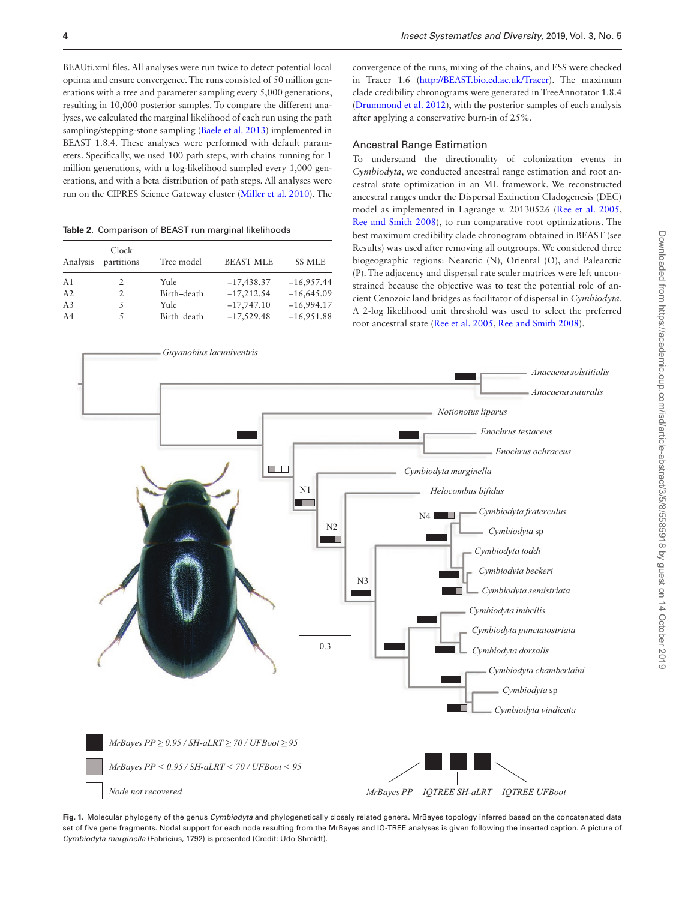BEAUti.xml files. All analyses were run twice to detect potential local optima and ensure convergence. The runs consisted of 50 million generations with a tree and parameter sampling every 5,000 generations, resulting in 10,000 posterior samples. To compare the different analyses, we calculated the marginal likelihood of each run using the path sampling/stepping-stone sampling ([Baele et al. 2013](#page-6-24)) implemented in BEAST 1.8.4. These analyses were performed with default parameters. Specifically, we used 100 path steps, with chains running for 1 million generations, with a log-likelihood sampled every 1,000 generations, and with a beta distribution of path steps. All analyses were run on the CIPRES Science Gateway cluster [\(Miller et al. 2010\)](#page-6-18). The

<span id="page-3-0"></span>**Table 2.** Comparison of BEAST run marginal likelihoods

| Analysis       | Clock<br>partitions | Tree model  | <b>BEAST MLE</b> | <b>SS MLE</b> |
|----------------|---------------------|-------------|------------------|---------------|
| A <sub>1</sub> |                     | Yule        | $-17,438.37$     | $-16,957.44$  |
| A2             | 2                   | Birth-death | $-17,212.54$     | $-16,645.09$  |
| A <sub>3</sub> |                     | Yule        | $-17,747.10$     | $-16,994.17$  |
| A <sub>4</sub> | 5                   | Birth-death | $-17,529.48$     | $-16,951.88$  |
|                |                     |             |                  |               |

convergence of the runs, mixing of the chains, and ESS were checked in Tracer 1.6 (<http://BEAST.bio.ed.ac.uk/Tracer>). The maximum clade credibility chronograms were generated in TreeAnnotator 1.8.4 [\(Drummond et al. 2012\)](#page-6-19), with the posterior samples of each analysis after applying a conservative burn-in of 25%.

# Ancestral Range Estimation

To understand the directionality of colonization events in *Cymbiodyta*, we conducted ancestral range estimation and root ancestral state optimization in an ML framework. We reconstructed ancestral ranges under the Dispersal Extinction Cladogenesis (DEC) model as implemented in Lagrange v. 20130526 [\(Ree et al. 2005,](#page-6-25) [Ree and Smith 2008](#page-6-26)), to run comparative root optimizations. The best maximum credibility clade chronogram obtained in BEAST (see Results) was used after removing all outgroups. We considered three biogeographic regions: Nearctic (N), Oriental (O), and Palearctic (P). The adjacency and dispersal rate scaler matrices were left unconstrained because the objective was to test the potential role of ancient Cenozoic land bridges as facilitator of dispersal in *Cymbiodyta*. A 2-log likelihood unit threshold was used to select the preferred root ancestral state [\(Ree et al. 2005](#page-6-25), [Ree and Smith 2008](#page-6-26)).



<span id="page-3-1"></span>**Fig. 1.** Molecular phylogeny of the genus *Cymbiodyta* and phylogenetically closely related genera. MrBayes topology inferred based on the concatenated data set of five gene fragments. Nodal support for each node resulting from the MrBayes and IQ-TREE analyses is given following the inserted caption. A picture of *Cymbiodyta marginella* (Fabricius, 1792) is presented (Credit: Udo Shmidt).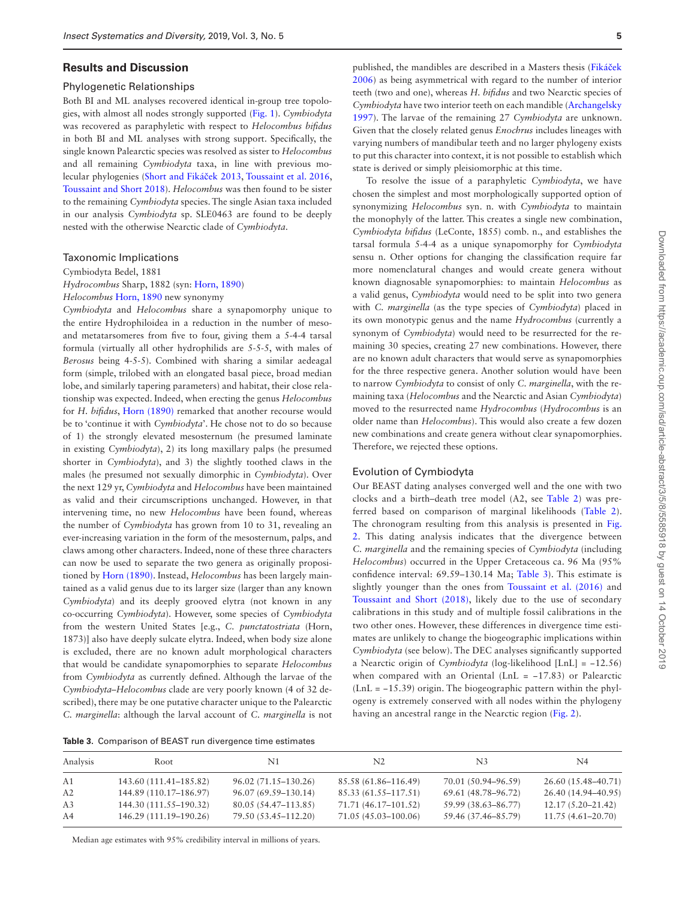## **Results and Discussion**

#### Phylogenetic Relationships

Both BI and ML analyses recovered identical in-group tree topologies, with almost all nodes strongly supported [\(Fig. 1](#page-3-1)). *Cymbiodyta* was recovered as paraphyletic with respect to *Helocombus bifidus* in both BI and ML analyses with strong support. Specifically, the single known Palearctic species was resolved as sister to *Helocombus* and all remaining *Cymbiodyta* taxa, in line with previous molecular phylogenies ([Short and Fiká](#page-6-8)ček 2013, [Toussaint et al. 2016,](#page-6-9) [Toussaint and Short 2018\)](#page-6-10). *Helocombus* was then found to be sister to the remaining *Cymbiodyta* species. The single Asian taxa included in our analysis *Cymbiodyta* sp. SLE0463 are found to be deeply nested with the otherwise Nearctic clade of *Cymbiodyta*.

#### Taxonomic Implications

Cymbiodyta Bedel, 1881

*Hydrocombus* Sharp, 1882 (syn: [Horn, 1890\)](#page-6-11)

*Helocombus* [Horn, 1890](#page-6-11) new synonymy

*Cymbiodyta* and *Helocombus* share a synapomorphy unique to the entire Hydrophiloidea in a reduction in the number of mesoand metatarsomeres from five to four, giving them a 5-4-4 tarsal formula (virtually all other hydrophilids are 5-5-5, with males of *Berosus* being 4-5-5). Combined with sharing a similar aedeagal form (simple, trilobed with an elongated basal piece, broad median lobe, and similarly tapering parameters) and habitat, their close relationship was expected. Indeed, when erecting the genus *Helocombus* for *H. bifidus*, [Horn \(1890\)](#page-6-11) remarked that another recourse would be to 'continue it with *Cymbiodyta*'. He chose not to do so because of 1) the strongly elevated mesosternum (he presumed laminate in existing *Cymbiodyta*), 2) its long maxillary palps (he presumed shorter in *Cymbiodyta*), and 3) the slightly toothed claws in the males (he presumed not sexually dimorphic in *Cymbiodyta*). Over the next 129 yr, *Cymbiodyta* and *Helocombus* have been maintained as valid and their circumscriptions unchanged. However, in that intervening time, no new *Helocombus* have been found, whereas the number of *Cymbiodyta* has grown from 10 to 31, revealing an ever-increasing variation in the form of the mesosternum, palps, and claws among other characters. Indeed, none of these three characters can now be used to separate the two genera as originally propositioned by [Horn \(1890\)](#page-6-11). Instead, *Helocombus* has been largely maintained as a valid genus due to its larger size (larger than any known *Cymbiodyta*) and its deeply grooved elytra (not known in any co-occurring *Cymbiodyta*). However, some species of *Cymbiodyta* from the western United States [e.g., *C. punctatostriata* (Horn, 1873)] also have deeply sulcate elytra. Indeed, when body size alone is excluded, there are no known adult morphological characters that would be candidate synapomorphies to separate *Helocombus* from *Cymbiodyta* as currently defined. Although the larvae of the Cymbiodyta–*Helocon* scribed), there may be *C. marginella*: although

| nbus clade are very poorly known (4 of 32 de-<br>e one putative character unique to the Palearctic<br>ugh the larval account of C. <i>marginella</i> is not | $(LnL = -15.39)$ origin. The biogeographic pattern within the phyl-<br>ogeny is extremely conserved with all nodes within the phylogeny<br>having an ancestral range in the Nearctic region (Fig. 2). |
|-------------------------------------------------------------------------------------------------------------------------------------------------------------|-------------------------------------------------------------------------------------------------------------------------------------------------------------------------------------------------------|
| of BEAST run divergence time estimates                                                                                                                      |                                                                                                                                                                                                       |
|                                                                                                                                                             |                                                                                                                                                                                                       |

<span id="page-4-0"></span>

| Analysis       | Root                   | N1                   | N <sub>2</sub>       | N3                  | N4                    |
|----------------|------------------------|----------------------|----------------------|---------------------|-----------------------|
| A1             | 143.60 (111.41–185.82) | 96.02 (71.15–130.26) | 85.58 (61.86–116.49) | 70.01 (50.94–96.59) | 26.60 (15.48–40.71)   |
| A2             | 144.89 (110.17–186.97) | 96.07 (69.59–130.14) | 85.33 (61.55–117.51) | 69.61 (48.78–96.72) | 26.40 (14.94-40.95)   |
| A <sub>3</sub> | 144.30 (111.55–190.32) | 80.05 (54.47–113.85) | 71.71 (46.17–101.52) | 59.99 (38.63–86.77) | $12.17(5.20 - 21.42)$ |
| A4             | 146.29 (111.19–190.26) | 79.50 (53.45–112.20) | 71.05 (45.03-100.06) | 59.46 (37.46–85.79) | $11.75(4.61 - 20.70)$ |

**5**

published, the mandibles are described in a Masters thesis ([Fiká](#page-6-27)ček [2006](#page-6-27)) as being asymmetrical with regard to the number of interior teeth (two and one), whereas *H. bifidus* and two Nearctic species of *Cymbiodyta* have two interior teeth on each mandible ([Archangelsky](#page-5-1)  [1997](#page-5-1)). The larvae of the remaining 27 *Cymbiodyta* are unknown. Given that the closely related genus *Enochrus* includes lineages with varying numbers of mandibular teeth and no larger phylogeny exists to put this character into context, it is not possible to establish which state is derived or simply pleisiomorphic at this time.

To resolve the issue of a paraphyletic *Cymbiodyta*, we have chosen the simplest and most morphologically supported option of synonymizing *Helocombus* syn. n. with *Cymbiodyta* to maintain the monophyly of the latter. This creates a single new combination, *Cymbiodyta bifidus* (LeConte, 1855) comb. n., and establishes the tarsal formula 5-4-4 as a unique synapomorphy for *Cymbiodyta* sensu n. Other options for changing the classification require far more nomenclatural changes and would create genera without known diagnosable synapomorphies: to maintain *Helocombus* as a valid genus, *Cymbiodyta* would need to be split into two genera with *C. marginella* (as the type species of *Cymbiodyta*) placed in its own monotypic genus and the name *Hydrocombus* (currently a synonym of *Cymbiodyta*) would need to be resurrected for the remaining 30 species, creating 27 new combinations. However, there are no known adult characters that would serve as synapomorphies for the three respective genera. Another solution would have been to narrow *Cymbiodyta* to consist of only *C. marginella*, with the remaining taxa (*Helocombus* and the Nearctic and Asian *Cymbiodyta*) moved to the resurrected name *Hydrocombus* (*Hydrocombus* is an older name than *Helocombus*). This would also create a few dozen new combinations and create genera without clear synapomorphies. Therefore, we rejected these options.

#### Evolution of Cymbiodyta

Our BEAST dating analyses converged well and the one with two clocks and a birth–death tree model (A2, see [Table 2](#page-3-0)) was preferred based on comparison of marginal likelihoods ([Table 2\)](#page-3-0). The chronogram resulting from this analysis is presented in [Fig.](#page-5-2)  [2](#page-5-2). This dating analysis indicates that the divergence between *C. marginella* and the remaining species of *Cymbiodyta* (including *Helocombus*) occurred in the Upper Cretaceous ca. 96 Ma (95% confidence interval: 69.59–130.14 Ma; [Table 3\)](#page-4-0). This estimate is slightly younger than the ones from [Toussaint et al. \(2016\)](#page-6-9) and [Toussaint and Short \(2018\),](#page-6-10) likely due to the use of secondary calibrations in this study and of multiple fossil calibrations in the two other ones. However, these differences in divergence time estimates are unlikely to change the biogeographic implications within *Cymbiodyta* (see below). The DEC analyses significantly supported a Nearctic origin of *Cymbiodyta* (log-likelihood [LnL] = −12.56) when compared with an Oriental (LnL =  $-17.83$ ) or Palearctic

Median age estimates with 95% credibility interval in millions of years.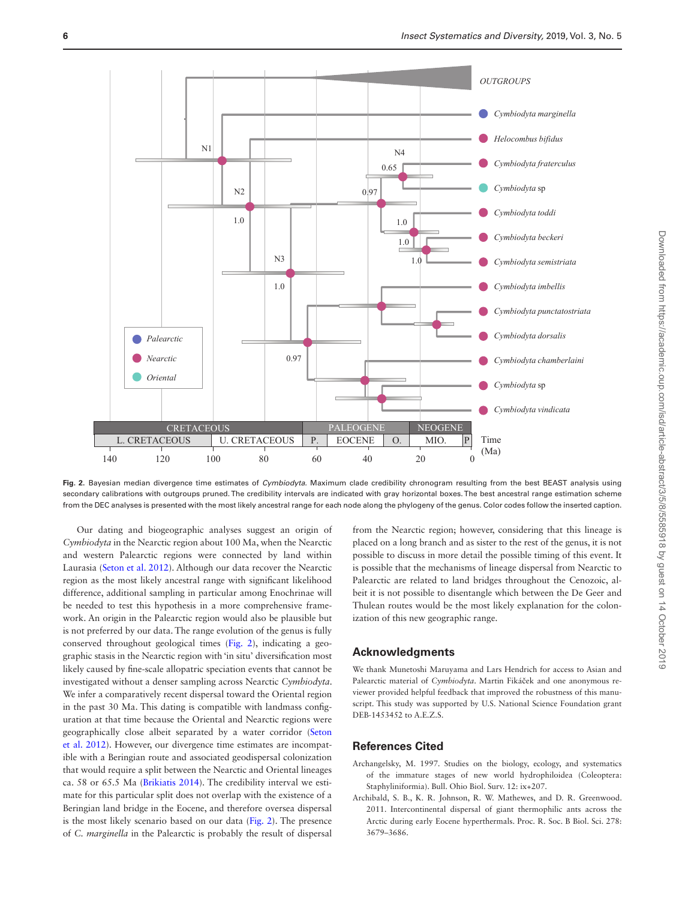

<span id="page-5-2"></span>**Fig. 2.** Bayesian median divergence time estimates of *Cymbiodyta.* Maximum clade credibility chronogram resulting from the best BEAST analysis using secondary calibrations with outgroups pruned. The credibility intervals are indicated with gray horizontal boxes. The best ancestral range estimation scheme from the DEC analyses is presented with the most likely ancestral range for each node along the phylogeny of the genus. Color codes follow the inserted caption.

Our dating and biogeographic analyses suggest an origin of *Cymbiodyta* in the Nearctic region about 100 Ma, when the Nearctic and western Palearctic regions were connected by land within Laurasia [\(Seton et al. 2012\)](#page-6-28). Although our data recover the Nearctic region as the most likely ancestral range with significant likelihood difference, additional sampling in particular among Enochrinae will be needed to test this hypothesis in a more comprehensive framework. An origin in the Palearctic region would also be plausible but is not preferred by our data. The range evolution of the genus is fully conserved throughout geological times ([Fig. 2](#page-5-2)), indicating a geographic stasis in the Nearctic region with 'in situ' diversification most likely caused by fine-scale allopatric speciation events that cannot be investigated without a denser sampling across Nearctic *Cymbiodyta*. We infer a comparatively recent dispersal toward the Oriental region in the past 30 Ma. This dating is compatible with landmass configuration at that time because the Oriental and Nearctic regions were geographically close albeit separated by a water corridor ([Seton](#page-6-28)  [et al. 2012](#page-6-28)). However, our divergence time estimates are incompatible with a Beringian route and associated geodispersal colonization that would require a split between the Nearctic and Oriental lineages ca. 58 or 65.5 Ma [\(Brikiatis 2014](#page-6-1)). The credibility interval we estimate for this particular split does not overlap with the existence of a Beringian land bridge in the Eocene, and therefore oversea dispersal is the most likely scenario based on our data ([Fig. 2\)](#page-5-2). The presence of *C. marginella* in the Palearctic is probably the result of dispersal

from the Nearctic region; however, considering that this lineage is placed on a long branch and as sister to the rest of the genus, it is not possible to discuss in more detail the possible timing of this event. It is possible that the mechanisms of lineage dispersal from Nearctic to Palearctic are related to land bridges throughout the Cenozoic, albeit it is not possible to disentangle which between the De Geer and Thulean routes would be the most likely explanation for the colonization of this new geographic range.

# **Acknowledgments**

We thank Munetoshi Maruyama and Lars Hendrich for access to Asian and Palearctic material of *Cymbiodyta*. Martin Fikáček and one anonymous reviewer provided helpful feedback that improved the robustness of this manuscript. This study was supported by U.S. National Science Foundation grant DEB-1453452 to A.E.Z.S.

## **References Cited**

- <span id="page-5-1"></span>Archangelsky, M. 1997. Studies on the biology, ecology, and systematics of the immature stages of new world hydrophiloidea (Coleoptera: Staphyliniformia). Bull. Ohio Biol. Surv. 12: ix+207.
- <span id="page-5-0"></span>Archibald, S. B., K. R. Johnson, R. W. Mathewes, and D. R. Greenwood. 2011. Intercontinental dispersal of giant thermophilic ants across the Arctic during early Eocene hyperthermals. Proc. R. Soc. B Biol. Sci. 278: 3679–3686.